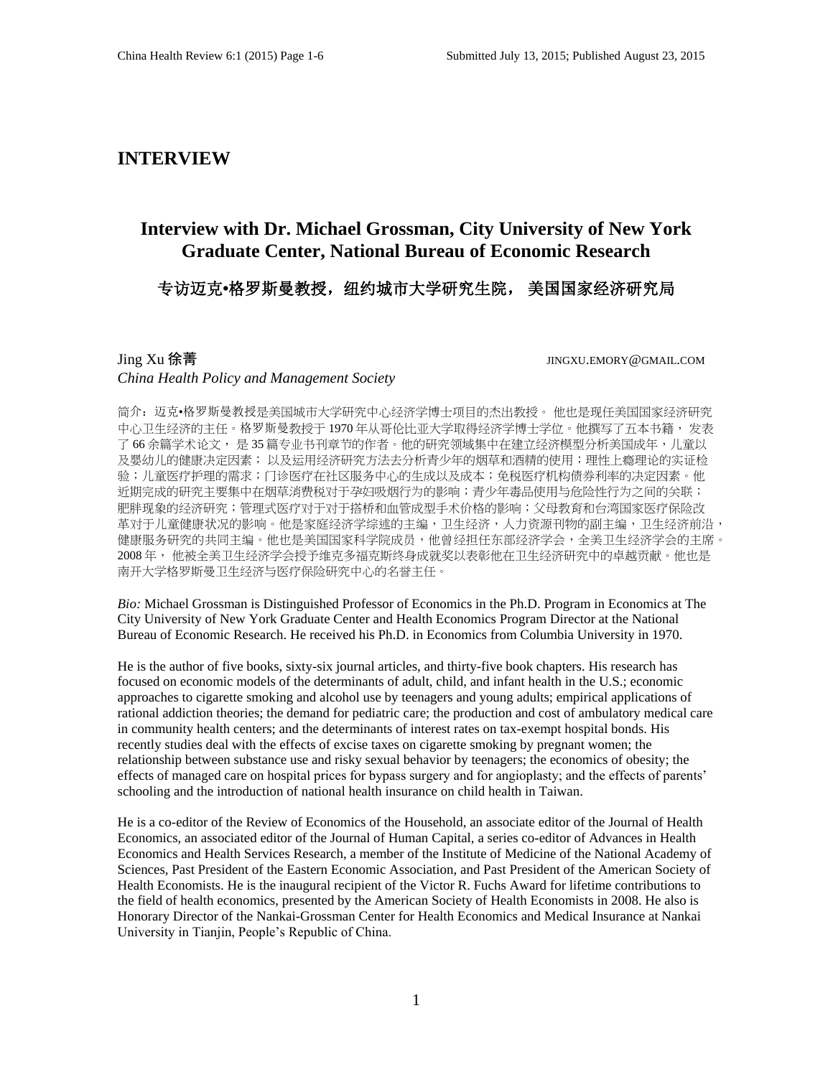## **INTERVIEW**

# **Interview with Dr. Michael Grossman, City University of New York Graduate Center, National Bureau of Economic Research**

## 专访迈克**•**格罗斯曼教授,纽约城市大学研究生院, 美国国家经济研究局

### Jing Xu 徐菁 JINGXU.EMORY@GMAIL.COM *China Health Policy and Management Society*

简介: 迈克•格罗斯曼教授是美国城市大学研究中心经济学博士项目的杰出教授。 他也是现任美国国家经济研究 中心卫生经济的主任。格罗斯曼教授于 1970 年从哥伦比亚大学取得经济学博士学位。他撰写了五本书籍, 发表 了66余篇学术论文, 是35 篇专业书刊章节的作者。他的研究领域集中在建立经济模型分析美国成年,儿童以 及婴幼儿的健康决定因素; 以及运用经济研究方法去分析青少年的烟草和酒精的使用; 理性上瘾理论的实证检 验;儿童医疗护理的需求;门诊医疗在社区服务中心的生成以及成本;免税医疗机构债券利率的决定因素。他 近期完成的研究主要集中在烟草消费税对于孕妇吸烟行为的影响;青少年毒品使用与危险性行为之间的关联; 肥胖现象的经济研究;管理式医疗对于对于搭桥和血管成型手术价格的影响;父母教育和台湾国家医疗保险改 革对于儿童健康状况的影响。他是家庭经济学综述的主编,卫生经济,人力资源刊物的副主编,卫生经济前沿, 健康服务研究的共同主编。他也是美国国家科学院成员,他曾经担任东部经济学会,全美卫生经济学会的主席。 2008 年, 他被全美卫生经济学会授予维克多福克斯终身成就奖以表彰他在卫生经济研究中的卓越贡献。他也是 南开大学格罗斯曼卫生经济与医疗保险研究中心的名誉主任。

*Bio:* Michael Grossman is Distinguished Professor of Economics in the Ph.D. Program in Economics at The City University of New York Graduate Center and Health Economics Program Director at the National Bureau of Economic Research. He received his Ph.D. in Economics from Columbia University in 1970.

He is the author of five books, sixty-six journal articles, and thirty-five book chapters. His research has focused on economic models of the determinants of adult, child, and infant health in the U.S.; economic approaches to cigarette smoking and alcohol use by teenagers and young adults; empirical applications of rational addiction theories; the demand for pediatric care; the production and cost of ambulatory medical care in community health centers; and the determinants of interest rates on tax-exempt hospital bonds. His recently studies deal with the effects of excise taxes on cigarette smoking by pregnant women; the relationship between substance use and risky sexual behavior by teenagers; the economics of obesity; the effects of managed care on hospital prices for bypass surgery and for angioplasty; and the effects of parents' schooling and the introduction of national health insurance on child health in Taiwan.

He is a co-editor of the Review of Economics of the Household, an associate editor of the Journal of Health Economics, an associated editor of the Journal of Human Capital, a series co-editor of Advances in Health Economics and Health Services Research, a member of the Institute of Medicine of the National Academy of Sciences, Past President of the Eastern Economic Association, and Past President of the American Society of Health Economists. He is the inaugural recipient of the Victor R. Fuchs Award for lifetime contributions to the field of health economics, presented by the American Society of Health Economists in 2008. He also is Honorary Director of the Nankai-Grossman Center for Health Economics and Medical Insurance at Nankai University in Tianjin, People's Republic of China.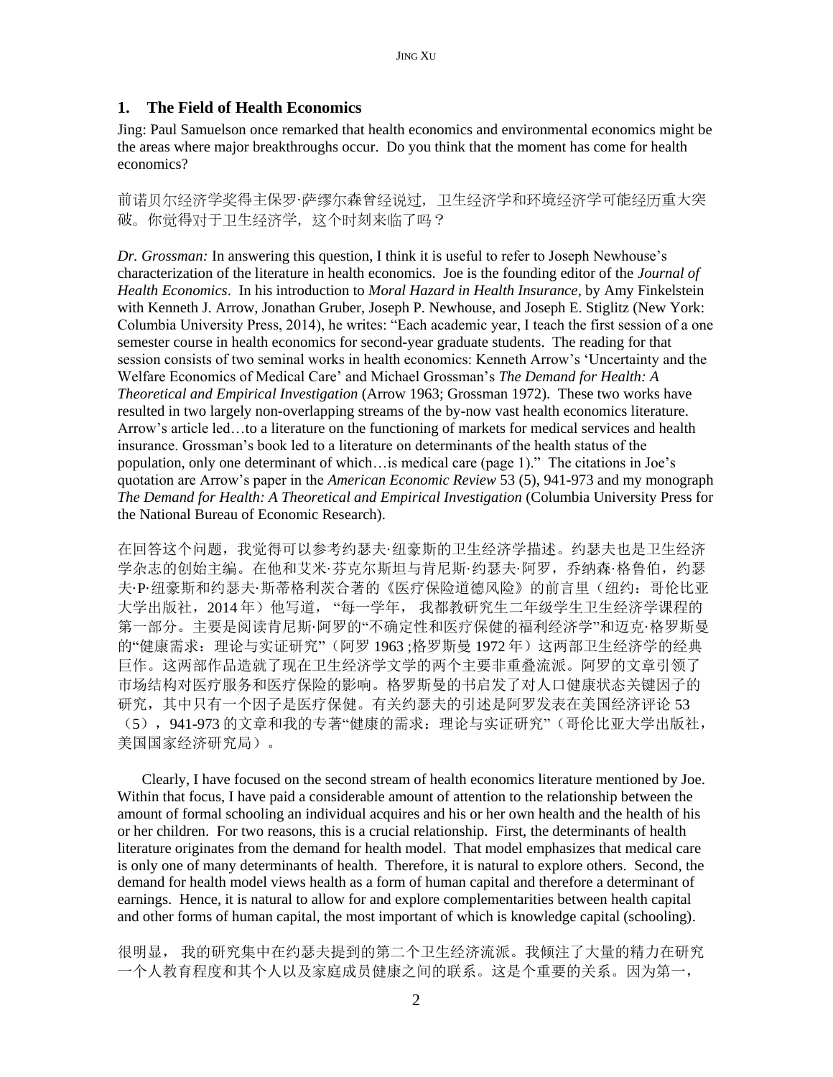## **1. The Field of Health Economics**

Jing: Paul Samuelson once remarked that health economics and environmental economics might be the areas where major breakthroughs occur. Do you think that the moment has come for health economics?

前诺贝尔经济学奖得主保罗·萨缪尔森曾经说过,卫生经济学和环境经济学可能经历重大突 破。你觉得对于卫生经济学,这个时刻来临了吗?

*Dr. Grossman:* In answering this question, I think it is useful to refer to Joseph Newhouse's characterization of the literature in health economics. Joe is the founding editor of the *Journal of Health Economics*. In his introduction to *Moral Hazard in Health Insurance*, by Amy Finkelstein with Kenneth J. Arrow, Jonathan Gruber, Joseph P. Newhouse, and Joseph E. Stiglitz (New York: Columbia University Press, 2014), he writes: "Each academic year, I teach the first session of a one semester course in health economics for second-year graduate students. The reading for that session consists of two seminal works in health economics: Kenneth Arrow's 'Uncertainty and the Welfare Economics of Medical Care' and Michael Grossman's *The Demand for Health: A Theoretical and Empirical Investigation* (Arrow 1963; Grossman 1972). These two works have resulted in two largely non-overlapping streams of the by-now vast health economics literature. Arrow's article led…to a literature on the functioning of markets for medical services and health insurance. Grossman's book led to a literature on determinants of the health status of the population, only one determinant of which…is medical care (page 1)." The citations in Joe's quotation are Arrow's paper in the *American Economic Review* 53 (5), 941-973 and my monograph *The Demand for Health: A Theoretical and Empirical Investigation* (Columbia University Press for the National Bureau of Economic Research).

在回答这个问题,我觉得可以参考约瑟夫·纽豪斯的卫生经济学描述。约瑟夫也是卫生经济 学杂志的创始主编。在他和艾米·芬克尔斯坦与肯尼斯·约瑟夫·阿罗,乔纳森·格鲁伯,约瑟 夫·P·纽豪斯和约瑟夫·斯蒂格利茨合著的《医疗保险道德风险》的前言里(纽约:哥伦比亚 大学出版社,2014年)他写道,"每一学年,我都教研究生二年级学生卫生经济学课程的 第一部分。主要是阅读肯尼斯·阿罗的"不确定性和医疗保健的福利经济学"和迈克·格罗斯曼 的"健康需求: 理论与实证研究"(阿罗 1963;格罗斯曼 1972年)这两部卫生经济学的经典 巨作。这两部作品造就了现在卫生经济学文学的两个主要非重叠流派。阿罗的文章引领了 市场结构对医疗服务和医疗保险的影响。格罗斯曼的书启发了对人口健康状态关键因子的 研究,其中只有一个因子是医疗保健。有关约瑟夫的引述是阿罗发表在美国经济评论 53 (5),941-973 的文章和我的专著"健康的需求:理论与实证研究"(哥伦比亚大学出版社, 美国国家经济研究局)。

Clearly, I have focused on the second stream of health economics literature mentioned by Joe. Within that focus, I have paid a considerable amount of attention to the relationship between the amount of formal schooling an individual acquires and his or her own health and the health of his or her children. For two reasons, this is a crucial relationship. First, the determinants of health literature originates from the demand for health model. That model emphasizes that medical care is only one of many determinants of health. Therefore, it is natural to explore others. Second, the demand for health model views health as a form of human capital and therefore a determinant of earnings. Hence, it is natural to allow for and explore complementarities between health capital and other forms of human capital, the most important of which is knowledge capital (schooling).

很明显, 我的研究集中在约瑟夫提到的第二个卫生经济流派。我倾注了大量的精力在研究 一个人教育程度和其个人以及家庭成员健康之间的联系。这是个重要的关系。因为第一,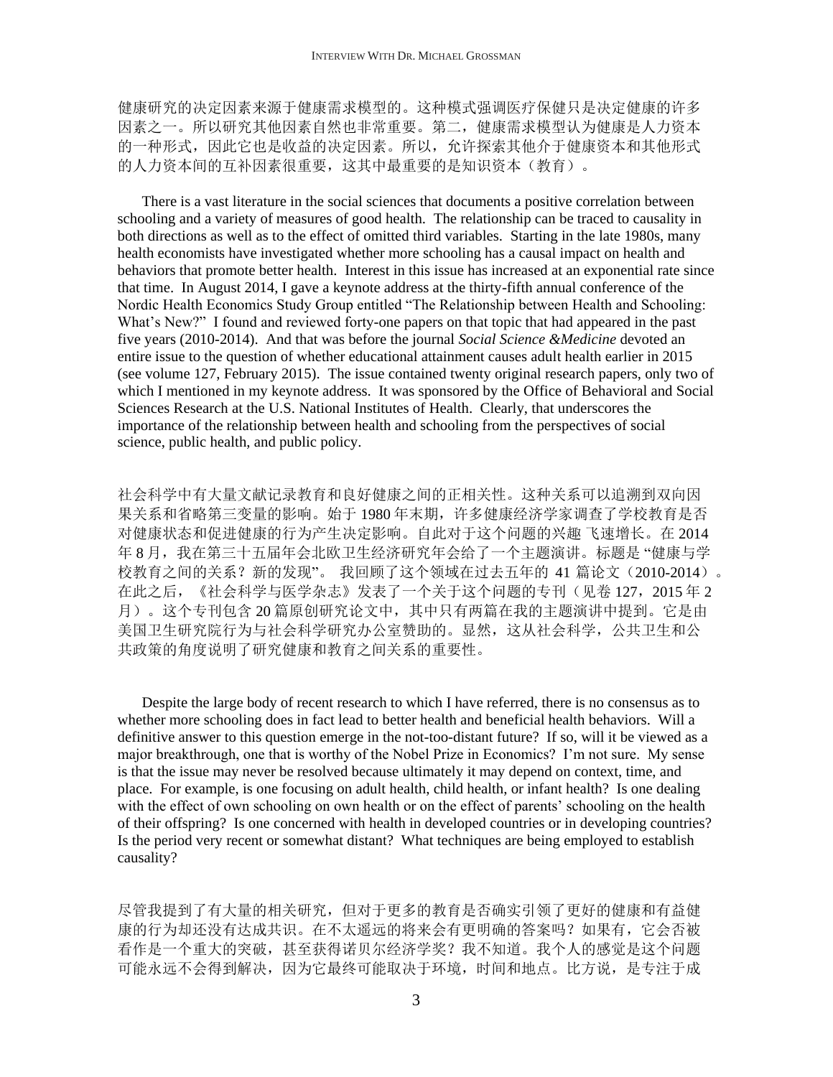健康研究的决定因素来源于健康需求模型的。这种模式强调医疗保健只是决定健康的许多 因素之一。所以研究其他因素自然也非常重要。第二,健康需求模型认为健康是人力资本 的一种形式,因此它也是收益的决定因素。所以,允许探索其他介于健康资本和其他形式 的人力资本间的互补因素很重要,这其中最重要的是知识资本(教育)。

There is a vast literature in the social sciences that documents a positive correlation between schooling and a variety of measures of good health. The relationship can be traced to causality in both directions as well as to the effect of omitted third variables. Starting in the late 1980s, many health economists have investigated whether more schooling has a causal impact on health and behaviors that promote better health. Interest in this issue has increased at an exponential rate since that time. In August 2014, I gave a keynote address at the thirty-fifth annual conference of the Nordic Health Economics Study Group entitled "The Relationship between Health and Schooling: What's New?" I found and reviewed forty-one papers on that topic that had appeared in the past five years (2010-2014). And that was before the journal *Social Science &Medicine* devoted an entire issue to the question of whether educational attainment causes adult health earlier in 2015 (see volume 127, February 2015). The issue contained twenty original research papers, only two of which I mentioned in my keynote address. It was sponsored by the Office of Behavioral and Social Sciences Research at the U.S. National Institutes of Health. Clearly, that underscores the importance of the relationship between health and schooling from the perspectives of social science, public health, and public policy.

社会科学中有大量文献记录教育和良好健康之间的正相关性。这种关系可以追溯到双向因 果关系和省略第三变量的影响。始于 1980 年末期,许多健康经济学家调查了学校教育是否 对健康状态和促进健康的行为产生决定影响。自此对于这个问题的兴趣 飞速增长。在 2014 年 8 月, 我在第三十五届年会北欧卫生经济研究年会给了一个主题演讲。标题是"健康与学 校教育之间的关系?新的发现"。 我回顾了这个领域在过去五年的 41 篇论文(2010-2014)。 在此之后, 《社会科学与医学杂志》发表了一个关于这个问题的专刊(见卷 127, 2015 年 2 月)。这个专刊包含 20 篇原创研究论文中,其中只有两篇在我的主题演讲中提到。它是由 美国卫生研究院行为与社会科学研究办公室赞助的。显然,这从社会科学,公共卫生和公 共政策的角度说明了研究健康和教育之间关系的重要性。

Despite the large body of recent research to which I have referred, there is no consensus as to whether more schooling does in fact lead to better health and beneficial health behaviors. Will a definitive answer to this question emerge in the not-too-distant future? If so, will it be viewed as a major breakthrough, one that is worthy of the Nobel Prize in Economics? I'm not sure. My sense is that the issue may never be resolved because ultimately it may depend on context, time, and place. For example, is one focusing on adult health, child health, or infant health? Is one dealing with the effect of own schooling on own health or on the effect of parents' schooling on the health of their offspring? Is one concerned with health in developed countries or in developing countries? Is the period very recent or somewhat distant? What techniques are being employed to establish causality?

尽管我提到了有大量的相关研究,但对于更多的教育是否确实引领了更好的健康和有益健 康的行为却还没有达成共识。在不太遥远的将来会有更明确的答案吗?如果有,它会否被 看作是一个重大的突破,甚至获得诺贝尔经济学奖?我不知道。我个人的感觉是这个问题 可能永远不会得到解决,因为它最终可能取决于环境,时间和地点。比方说,是专注于成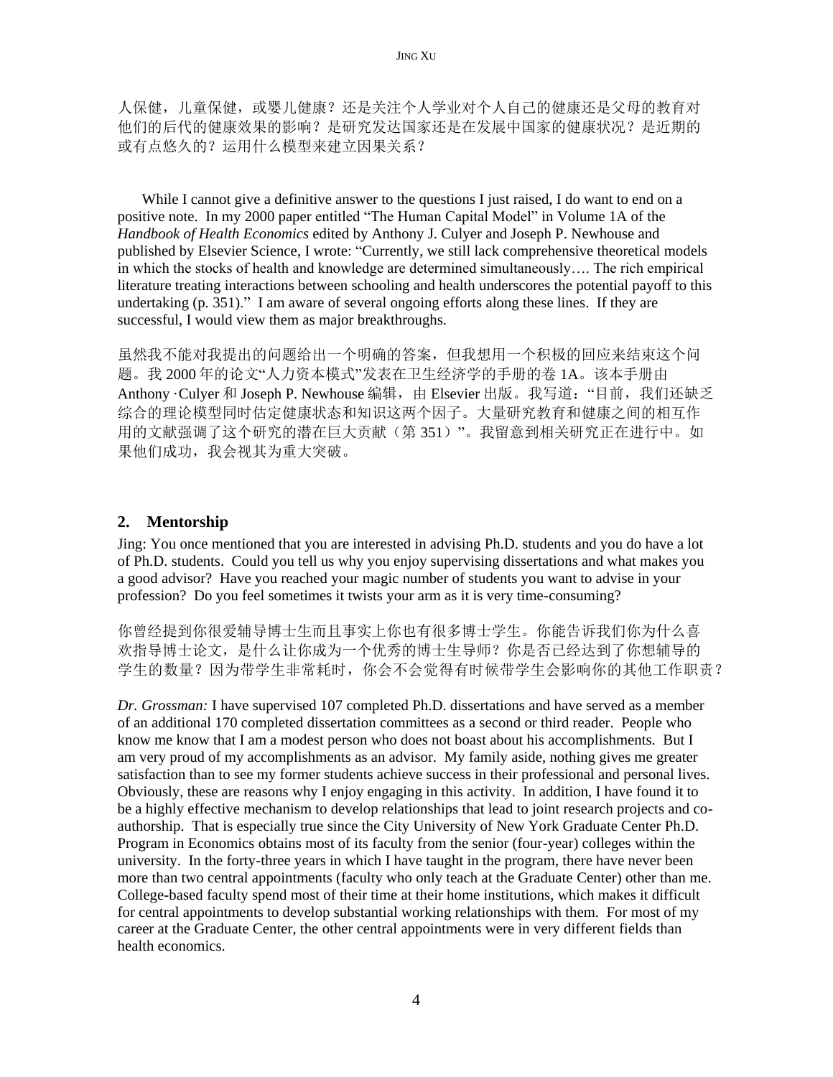人保健,儿童保健,或婴儿健康?还是关注个人学业对个人自己的健康还是父母的教育对 他们的后代的健康效果的影响?是研究发达国家还是在发展中国家的健康状况?是近期的 或有点悠久的?运用什么模型来建立因果关系?

While I cannot give a definitive answer to the questions I just raised, I do want to end on a positive note. In my 2000 paper entitled "The Human Capital Model" in Volume 1A of the *Handbook of Health Economics* edited by Anthony J. Culyer and Joseph P. Newhouse and published by Elsevier Science, I wrote: "Currently, we still lack comprehensive theoretical models in which the stocks of health and knowledge are determined simultaneously…. The rich empirical literature treating interactions between schooling and health underscores the potential payoff to this undertaking (p. 351)." I am aware of several ongoing efforts along these lines. If they are successful, I would view them as major breakthroughs.

虽然我不能对我提出的问题给出一个明确的答案,但我想用一个积极的回应来结束这个问 题。我 2000 年的论文"人力资本模式"发表在卫生经济学的手册的卷 1A。该本手册由 Anthony ·Culver 和 Joseph P. Newhouse 编辑, 由 Elsevier 出版。我写道: "目前, 我们还缺乏 综合的理论模型同时估定健康状态和知识这两个因子。大量研究教育和健康之间的相互作 用的文献强调了这个研究的潜在巨大贡献(第 351)"。我留意到相关研究正在进行中。如 果他们成功,我会视其为重大突破。

## **2. Mentorship**

Jing: You once mentioned that you are interested in advising Ph.D. students and you do have a lot of Ph.D. students. Could you tell us why you enjoy supervising dissertations and what makes you a good advisor? Have you reached your magic number of students you want to advise in your profession? Do you feel sometimes it twists your arm as it is very time-consuming?

你曾经提到你很爱辅导博士生而且事实上你也有很多博士学生。你能告诉我们你为什么喜 欢指导博士论文,是什么让你成为一个优秀的博士生导师?你是否已经达到了你想辅导的 学生的数量?因为带学生非常耗时,你会不会觉得有时候带学生会影响你的其他工作职责?

*Dr. Grossman:* I have supervised 107 completed Ph.D. dissertations and have served as a member of an additional 170 completed dissertation committees as a second or third reader. People who know me know that I am a modest person who does not boast about his accomplishments. But I am very proud of my accomplishments as an advisor. My family aside, nothing gives me greater satisfaction than to see my former students achieve success in their professional and personal lives. Obviously, these are reasons why I enjoy engaging in this activity. In addition, I have found it to be a highly effective mechanism to develop relationships that lead to joint research projects and coauthorship. That is especially true since the City University of New York Graduate Center Ph.D. Program in Economics obtains most of its faculty from the senior (four-year) colleges within the university. In the forty-three years in which I have taught in the program, there have never been more than two central appointments (faculty who only teach at the Graduate Center) other than me. College-based faculty spend most of their time at their home institutions, which makes it difficult for central appointments to develop substantial working relationships with them. For most of my career at the Graduate Center, the other central appointments were in very different fields than health economics.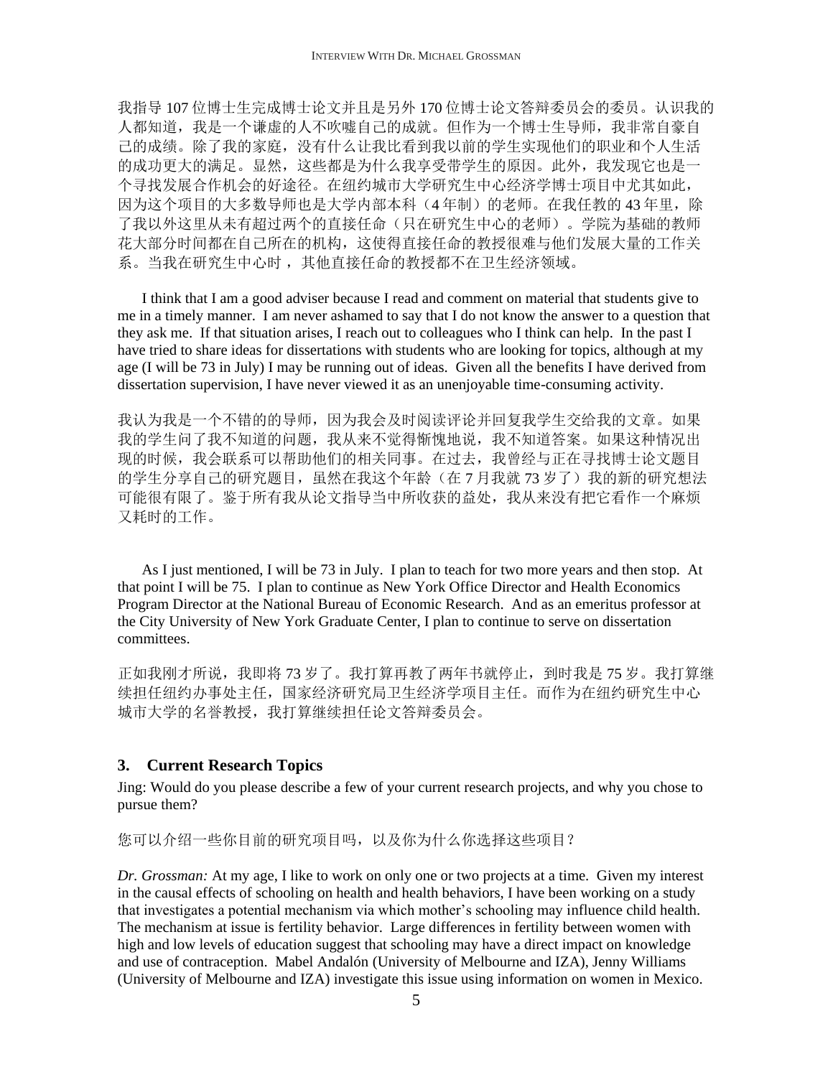我指导 107 位博士生完成博士论文并且是另外 170 位博士论文答辩委员会的委员。认识我的 人都知道,我是一个谦虚的人不吹嘘自己的成就。但作为一个博士生导师,我非常自豪自 己的成绩。除了我的家庭,没有什么让我比看到我以前的学生实现他们的职业和个人生活 的成功更大的满足。显然,这些都是为什么我享受带学生的原因。此外,我发现它也是一 个寻找发展合作机会的好途径。在纽约城市大学研究生中心经济学博士项目中尤其如此, 因为这个项目的大多数导师也是大学内部本科(4年制)的老师。在我任教的43年里,除 了我以外这里从未有超过两个的直接任命(只在研究生中心的老师)。学院为基础的教师 花大部分时间都在自己所在的机构,这使得直接任命的教授很难与他们发展大量的工作关 系。当我在研究生中心时,其他直接任命的教授都不在卫生经济领域。

I think that I am a good adviser because I read and comment on material that students give to me in a timely manner. I am never ashamed to say that I do not know the answer to a question that they ask me. If that situation arises, I reach out to colleagues who I think can help. In the past I have tried to share ideas for dissertations with students who are looking for topics, although at my age (I will be 73 in July) I may be running out of ideas. Given all the benefits I have derived from dissertation supervision, I have never viewed it as an unenjoyable time-consuming activity.

我认为我是一个不错的的导师,因为我会及时阅读评论并回复我学生交给我的文章。如果 我的学生问了我不知道的问题,我从来不觉得惭愧地说,我不知道答案。如果这种情况出 现的时候,我会联系可以帮助他们的相关同事。在过去,我曾经与正在寻找博士论文题目 的学生分享自己的研究题目,虽然在我这个年龄(在7月我就73岁了)我的新的研究想法 可能很有限了。鉴于所有我从论文指导当中所收获的益处,我从来没有把它看作一个麻烦 又耗时的工作。

As I just mentioned, I will be 73 in July. I plan to teach for two more years and then stop. At that point I will be 75. I plan to continue as New York Office Director and Health Economics Program Director at the National Bureau of Economic Research. And as an emeritus professor at the City University of New York Graduate Center, I plan to continue to serve on dissertation committees.

正如我刚才所说,我即将73岁了。我打算再教了两年书就停止,到时我是75岁。我打算继 续担任纽约办事处主任,国家经济研究局卫生经济学项目主任。而作为在纽约研究生中心 城市大学的名誉教授,我打算继续担任论文答辩委员会。

#### **3. Current Research Topics**

Jing: Would do you please describe a few of your current research projects, and why you chose to pursue them?

您可以介绍一些你目前的研究项目吗,以及你为什么你选择这些项目?

*Dr. Grossman:* At my age, I like to work on only one or two projects at a time. Given my interest in the causal effects of schooling on health and health behaviors, I have been working on a study that investigates a potential mechanism via which mother's schooling may influence child health. The mechanism at issue is fertility behavior. Large differences in fertility between women with high and low levels of education suggest that schooling may have a direct impact on knowledge and use of contraception. Mabel Andalón (University of Melbourne and IZA), Jenny Williams (University of Melbourne and IZA) investigate this issue using information on women in Mexico.